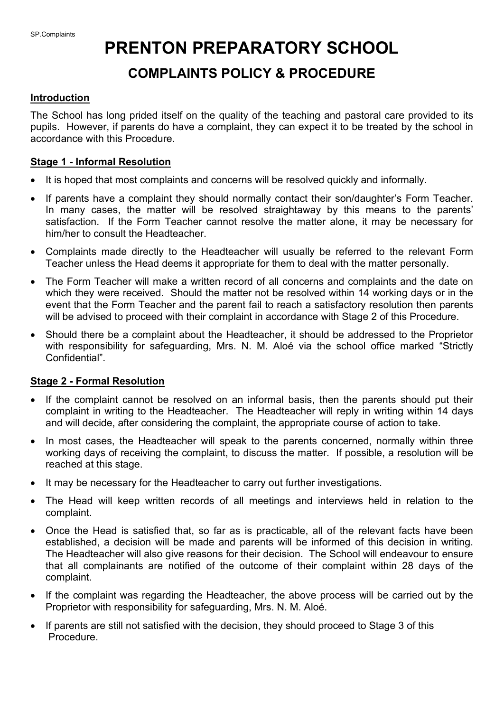# **PRENTON PREPARATORY SCHOOL**

## **COMPLAINTS POLICY & PROCEDURE**

#### **Introduction**

The School has long prided itself on the quality of the teaching and pastoral care provided to its pupils. However, if parents do have a complaint, they can expect it to be treated by the school in accordance with this Procedure.

#### **Stage 1 - Informal Resolution**

- It is hoped that most complaints and concerns will be resolved quickly and informally.
- If parents have a complaint they should normally contact their son/daughter's Form Teacher. In many cases, the matter will be resolved straightaway by this means to the parents' satisfaction. If the Form Teacher cannot resolve the matter alone, it may be necessary for him/her to consult the Headteacher.
- Complaints made directly to the Headteacher will usually be referred to the relevant Form Teacher unless the Head deems it appropriate for them to deal with the matter personally.
- The Form Teacher will make a written record of all concerns and complaints and the date on which they were received. Should the matter not be resolved within 14 working days or in the event that the Form Teacher and the parent fail to reach a satisfactory resolution then parents will be advised to proceed with their complaint in accordance with Stage 2 of this Procedure.
- Should there be a complaint about the Headteacher, it should be addressed to the Proprietor with responsibility for safeguarding, Mrs. N. M. Aloé via the school office marked "Strictly Confidential".

#### **Stage 2 - Formal Resolution**

- If the complaint cannot be resolved on an informal basis, then the parents should put their complaint in writing to the Headteacher. The Headteacher will reply in writing within 14 days and will decide, after considering the complaint, the appropriate course of action to take.
- In most cases, the Headteacher will speak to the parents concerned, normally within three working days of receiving the complaint, to discuss the matter. If possible, a resolution will be reached at this stage.
- It may be necessary for the Headteacher to carry out further investigations.
- The Head will keep written records of all meetings and interviews held in relation to the complaint.
- Once the Head is satisfied that, so far as is practicable, all of the relevant facts have been established, a decision will be made and parents will be informed of this decision in writing. The Headteacher will also give reasons for their decision. The School will endeavour to ensure that all complainants are notified of the outcome of their complaint within 28 days of the complaint.
- If the complaint was regarding the Headteacher, the above process will be carried out by the Proprietor with responsibility for safeguarding, Mrs. N. M. Aloé.
- If parents are still not satisfied with the decision, they should proceed to Stage 3 of this Procedure.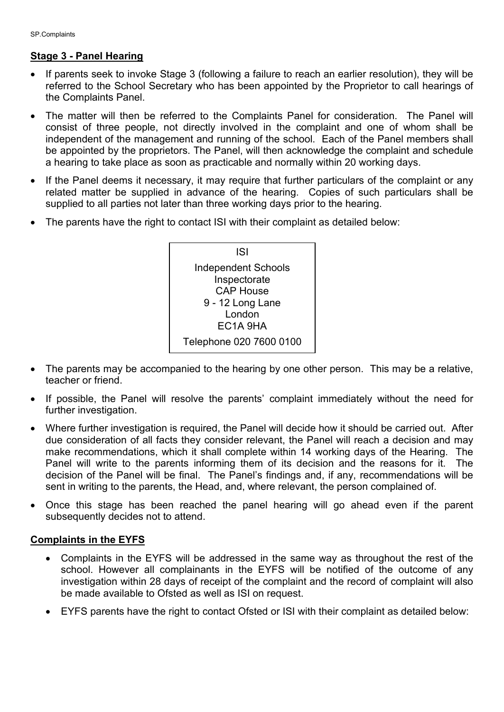### **Stage 3 - Panel Hearing**

- If parents seek to invoke Stage 3 (following a failure to reach an earlier resolution), they will be referred to the School Secretary who has been appointed by the Proprietor to call hearings of the Complaints Panel.
- The matter will then be referred to the Complaints Panel for consideration. The Panel will consist of three people, not directly involved in the complaint and one of whom shall be independent of the management and running of the school. Each of the Panel members shall be appointed by the proprietors. The Panel, will then acknowledge the complaint and schedule a hearing to take place as soon as practicable and normally within 20 working days.
- If the Panel deems it necessary, it may require that further particulars of the complaint or any related matter be supplied in advance of the hearing. Copies of such particulars shall be supplied to all parties not later than three working days prior to the hearing.
- The parents have the right to contact ISI with their complaint as detailed below:



- The parents may be accompanied to the hearing by one other person. This may be a relative, teacher or friend.
- If possible, the Panel will resolve the parents' complaint immediately without the need for further investigation.
- Where further investigation is required, the Panel will decide how it should be carried out. After due consideration of all facts they consider relevant, the Panel will reach a decision and may make recommendations, which it shall complete within 14 working days of the Hearing. The Panel will write to the parents informing them of its decision and the reasons for it. The decision of the Panel will be final. The Panel's findings and, if any, recommendations will be sent in writing to the parents, the Head, and, where relevant, the person complained of.
- Once this stage has been reached the panel hearing will go ahead even if the parent subsequently decides not to attend.

#### **Complaints in the EYFS**

- Complaints in the EYFS will be addressed in the same way as throughout the rest of the school. However all complainants in the EYFS will be notified of the outcome of any investigation within 28 days of receipt of the complaint and the record of complaint will also be made available to Ofsted as well as ISI on request.
- EYFS parents have the right to contact Ofsted or ISI with their complaint as detailed below: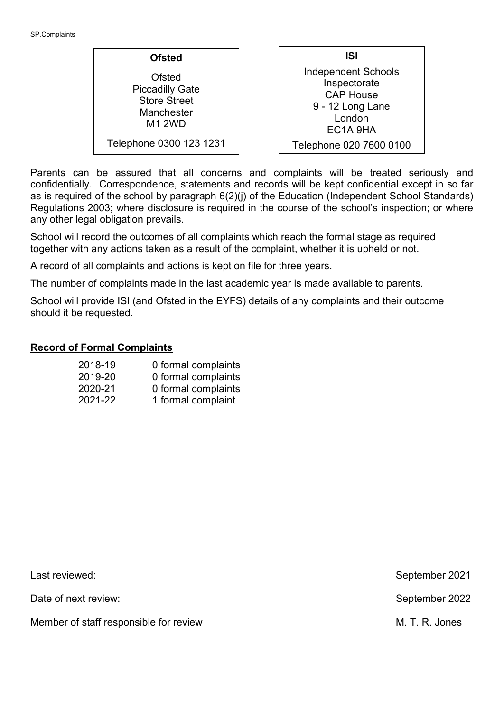**ISI** Independent Schools Inspectorate CAP House 9 - 12 Long Lane London EC1A 9HA Telephone 020 7600 0100 **Ofsted** Ofsted Piccadilly Gate Store Street **Manchester** M1 2WD Telephone 0300 123 1231

Parents can be assured that all concerns and complaints will be treated seriously and confidentially. Correspondence, statements and records will be kept confidential except in so far as is required of the school by paragraph 6(2)(j) of the Education (Independent School Standards) Regulations 2003; where disclosure is required in the course of the school's inspection; or where any other legal obligation prevails.

School will record the outcomes of all complaints which reach the formal stage as required together with any actions taken as a result of the complaint, whether it is upheld or not.

A record of all complaints and actions is kept on file for three years.

The number of complaints made in the last academic year is made available to parents.

School will provide ISI (and Ofsted in the EYFS) details of any complaints and their outcome should it be requested.

#### **Record of Formal Complaints**

| 2018-19 | 0 formal complaints |
|---------|---------------------|
| 2019-20 | 0 formal complaints |
| 2020-21 | 0 formal complaints |
| 2021-22 | 1 formal complaint  |

| Last reviewed:                         | September 2021 |
|----------------------------------------|----------------|
| Date of next review:                   | September 2022 |
| Member of staff responsible for review | M. T. R. Jones |